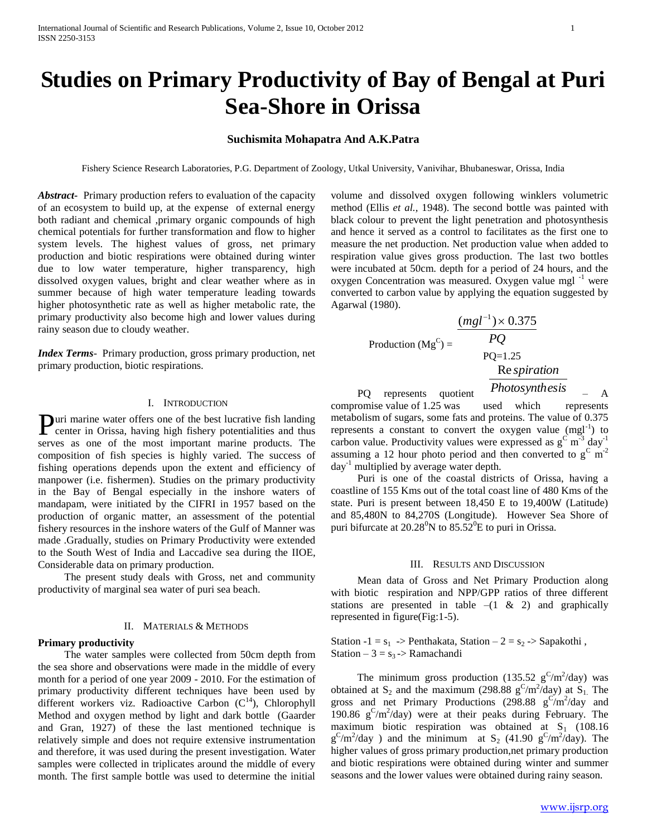# **Studies on Primary Productivity of Bay of Bengal at Puri Sea-Shore in Orissa**

## **Suchismita Mohapatra And A.K.Patra**

Fishery Science Research Laboratories, P.G. Department of Zoology, Utkal University, Vanivihar, Bhubaneswar, Orissa, India

*Abstract***-** Primary production refers to evaluation of the capacity of an ecosystem to build up, at the expense of external energy both radiant and chemical ,primary organic compounds of high chemical potentials for further transformation and flow to higher system levels. The highest values of gross, net primary production and biotic respirations were obtained during winter due to low water temperature, higher transparency, high dissolved oxygen values, bright and clear weather where as in summer because of high water temperature leading towards higher photosynthetic rate as well as higher metabolic rate, the primary productivity also become high and lower values during rainy season due to cloudy weather.

*Index Terms*- Primary production, gross primary production, net primary production, biotic respirations.

## I. INTRODUCTION

uri marine water offers one of the best lucrative fish landing **Puri marine water offers one of the best lucrative fish landing** center in Orissa, having high fishery potentialities and thus serves as one of the most important marine products. The composition of fish species is highly varied. The success of fishing operations depends upon the extent and efficiency of manpower (i.e. fishermen). Studies on the primary productivity in the Bay of Bengal especially in the inshore waters of mandapam, were initiated by the CIFRI in 1957 based on the production of organic matter, an assessment of the potential fishery resources in the inshore waters of the Gulf of Manner was made .Gradually, studies on Primary Productivity were extended to the South West of India and Laccadive sea during the IIOE, Considerable data on primary production.

 The present study deals with Gross, net and community productivity of marginal sea water of puri sea beach.

## II. MATERIALS & METHODS

### **Primary productivity**

 The water samples were collected from 50cm depth from the sea shore and observations were made in the middle of every month for a period of one year 2009 - 2010. For the estimation of primary productivity different techniques have been used by different workers viz. Radioactive Carbon  $(C^{14})$ , Chlorophyll Method and oxygen method by light and dark bottle (Gaarder and Gran, 1927) of these the last mentioned technique is relatively simple and does not require extensive instrumentation and therefore, it was used during the present investigation. Water samples were collected in triplicates around the middle of every month. The first sample bottle was used to determine the initial

volume and dissolved oxygen following winklers volumetric method (Ellis *et al.,* 1948). The second bottle was painted with black colour to prevent the light penetration and photosynthesis and hence it served as a control to facilitates as the first one to measure the net production. Net production value when added to respiration value gives gross production. The last two bottles were incubated at 50cm. depth for a period of 24 hours, and the oxygen Concentration was measured. Oxygen value mgl $^{-1}$  were converted to carbon value by applying the equation suggested by Agarwal (1980).

Production ( $Mg^C$ ) =

PQ=1.25 Re *spiration*

*PQ*  $(mgl^{-1}) \times 0.375$ 

 PQ represents quotient *Photosynthesis*  $-$  A compromise value of 1.25 was used which represents metabolism of sugars, some fats and proteins. The value of 0.375 represents a constant to convert the oxygen value  $(mgl<sup>-1</sup>)$  to carbon value. Productivity values were expressed as  $g^c$  m<sup>-3</sup> day<sup>-1</sup> assuming a 12 hour photo period and then converted to  $g^C m^2$ day-1 multiplied by average water depth.

 Puri is one of the coastal districts of Orissa, having a coastline of 155 Kms out of the total coast line of 480 Kms of the state. Puri is present between 18,450 E to 19,400W (Latitude) and 85,480N to 84,270S (Longitude). However Sea Shore of puri bifurcate at  $20.28^{\circ}$ N to  $85.52^{\circ}$ E to puri in Orissa.

## III. RESULTS AND DISCUSSION

 Mean data of Gross and Net Primary Production along with biotic respiration and NPP/GPP ratios of three different stations are presented in table  $-(1 \& 2)$  and graphically represented in figure(Fig:1-5).

Station  $-1 = s_1$  -> Penthakata, Station  $-2 = s_2$  -> Sapakothi, Station –  $3 = s_3$  -> Ramachandi

The minimum gross production (135.52  $g^C/m^2/day$ ) was obtained at  $S_2$  and the maximum (298.88 g<sup>C</sup>/m<sup>2</sup>/day) at  $S_1$ . The gross and net Primary Productions (298.88  $g^{C}/m^{2}/day$  and 190.86  $g^C/m^2$ /day) were at their peaks during February. The maximum biotic respiration was obtained at  $S<sub>1</sub>$  (108.16)  $g^{C/m^2}/day$ ) and the minimum at S<sub>2</sub> (41.90  $g^{C/m^2}/day$ ). The higher values of gross primary production,net primary production and biotic respirations were obtained during winter and summer seasons and the lower values were obtained during rainy season.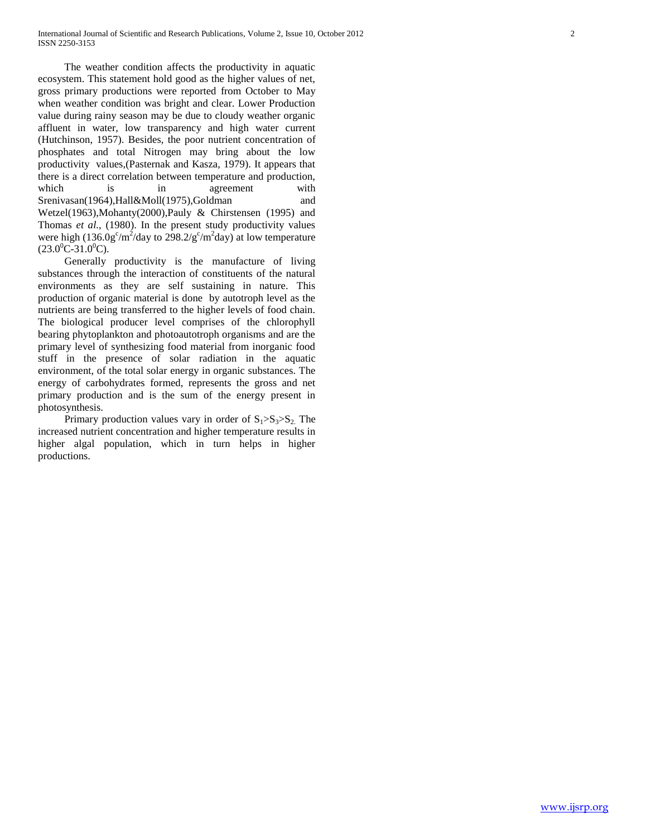The weather condition affects the productivity in aquatic ecosystem. This statement hold good as the higher values of net, gross primary productions were reported from October to May when weather condition was bright and clear. Lower Production value during rainy season may be due to cloudy weather organic affluent in water, low transparency and high water current (Hutchinson, 1957). Besides, the poor nutrient concentration of phosphates and total Nitrogen may bring about the low productivity values,(Pasternak and Kasza, 1979). It appears that there is a direct correlation between temperature and production, which is in agreement with Srenivasan(1964),Hall&Moll(1975),Goldman and Wetzel(1963),Mohanty(2000),Pauly & Chirstensen (1995) and Thomas *et al.,* (1980). In the present study productivity values were high  $(136.0g^c/m^2$ /day to  $298.2/g^c/m^2$ day) at low temperature  $(23.0^0C-31.0^0C)$ .

 Generally productivity is the manufacture of living substances through the interaction of constituents of the natural environments as they are self sustaining in nature. This production of organic material is done by autotroph level as the nutrients are being transferred to the higher levels of food chain. The biological producer level comprises of the chlorophyll bearing phytoplankton and photoautotroph organisms and are the primary level of synthesizing food material from inorganic food stuff in the presence of solar radiation in the aquatic environment, of the total solar energy in organic substances. The energy of carbohydrates formed, represents the gross and net primary production and is the sum of the energy present in photosynthesis.

Primary production values vary in order of  $S_1 > S_3 > S_2$ . The increased nutrient concentration and higher temperature results in higher algal population, which in turn helps in higher productions.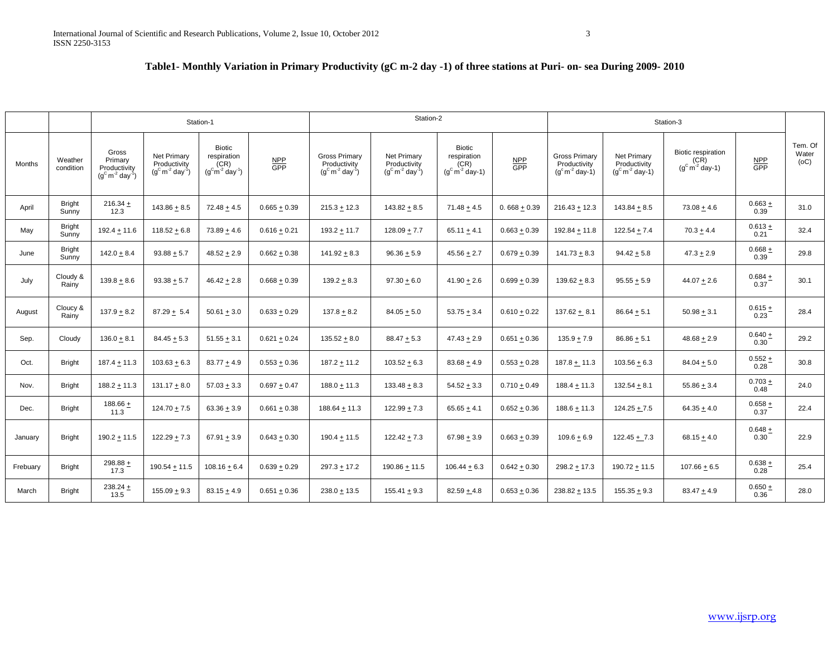# **Table1- Monthly Variation in Primary Productivity (gC m-2 day -1) of three stations at Puri- on- sea During 2009- 2010**

|          |                        | Station-1                                                             |                                                                  |                                                                     | Station-2         |                                                           |                                                                  |                                                    | Station-3                     |                                                          |                                                  |                                                    |                   |                          |
|----------|------------------------|-----------------------------------------------------------------------|------------------------------------------------------------------|---------------------------------------------------------------------|-------------------|-----------------------------------------------------------|------------------------------------------------------------------|----------------------------------------------------|-------------------------------|----------------------------------------------------------|--------------------------------------------------|----------------------------------------------------|-------------------|--------------------------|
| Months   | Weather<br>condition   | Gross<br>Primary<br>Productivity<br>$(g^C m^{-2}$ day <sup>-1</sup> ) | Net Primary<br>Productivity<br>$(g^C m^{-2}$ day <sup>-1</sup> ) | Biotic<br>respiration<br>(CR)<br>$(g^{c}m^{-2}$ day <sup>-1</sup> ) | $\frac{NPP}{GPP}$ | <b>Gross Primary</b><br>Productivity<br>$(g^C m^2 day^1)$ | Net Primary<br>Productivity<br>$(g^C m^{-2}$ day <sup>-1</sup> ) | Biotic<br>respiration<br>(CR)<br>$(g^C m^2$ day-1) | $rac{\text{NPP}}{\text{GPP}}$ | <b>Gross Primary</b><br>Productivity<br>$(gc m-2 day-1)$ | Net Primary<br>Productivity<br>$(g^C m^2$ day-1) | Biotic respiration<br>(CR)<br>$(g^C m^{-2}$ day-1) | $\frac{NPP}{GPP}$ | Tem. Of<br>Water<br>(OC) |
| April    | <b>Bright</b><br>Sunny | $216.34 +$<br>12.3                                                    | $143.86 + 8.5$                                                   | $72.48 + 4.5$                                                       | $0.665 + 0.39$    | $215.3 + 12.3$                                            | $143.82 + 8.5$                                                   | $71.48 \pm 4.5$                                    | 0.668 $\pm$ 0.39              | $216.43 + 12.3$                                          | $143.84 + 8.5$                                   | $73.08 + 4.6$                                      | $0.663 +$<br>0.39 | 31.0                     |
| May      | <b>Bright</b><br>Sunny | $192.4 + 11.6$                                                        | $118.52 + 6.8$                                                   | $73.89 + 4.6$                                                       | $0.616 + 0.21$    | $193.2 + 11.7$                                            | $128.09 + 7.7$                                                   | $65.11 + 4.1$                                      | $0.663 + 0.39$                | $192.84 + 11.8$                                          | $122.54 + 7.4$                                   | $70.3 + 4.4$                                       | $0.613 +$<br>0.21 | 32.4                     |
| June     | <b>Bright</b><br>Sunny | $142.0 + 8.4$                                                         | $93.88 + 5.7$                                                    | $48.52 + 2.9$                                                       | $0.662 + 0.38$    | $141.92 + 8.3$                                            | $96.36 + 5.9$                                                    | $45.56 \pm 2.7$                                    | $0.679 + 0.39$                | $141.73 + 8.3$                                           | $94.42 + 5.8$                                    | $47.3 + 2.9$                                       | $0.668 +$<br>0.39 | 29.8                     |
| July     | Cloudy &<br>Rainy      | $139.8 + 8.6$                                                         | $93.38 + 5.7$                                                    | $46.42 + 2.8$                                                       | $0.668 + 0.39$    | $139.2 + 8.3$                                             | $97.30 + 6.0$                                                    | $41.90 + 2.6$                                      | $0.699 + 0.39$                | $139.62 + 8.3$                                           | $95.55\pm5.9$                                    | $44.07 + 2.6$                                      | $0.684 +$<br>0.37 | 30.1                     |
| August   | Cloucy &<br>Rainy      | $137.9 + 8.2$                                                         | $87.29 + 5.4$                                                    | $50.61 + 3.0$                                                       | $0.633 + 0.29$    | $137.8 + 8.2$                                             | $84.05 + 5.0$                                                    | $53.75 + 3.4$                                      | $0.610 + 0.22$                | $137.62 + 8.1$                                           | $86.64 + 5.1$                                    | $50.98 + 3.1$                                      | $0.615 +$<br>0.23 | 28.4                     |
| Sep.     | Cloudy                 | $136.0 + 8.1$                                                         | $84.45 + 5.3$                                                    | $51.55 + 3.1$                                                       | $0.621 + 0.24$    | $135.52 + 8.0$                                            | $88.47 + 5.3$                                                    | $47.43 + 2.9$                                      | $0.651 + 0.36$                | $135.9 + 7.9$                                            | $86.86 + 5.1$                                    | $48.68 + 2.9$                                      | $0.640 +$<br>0.30 | 29.2                     |
| Oct.     | <b>Bright</b>          | $187.4 + 11.3$                                                        | $103.63 + 6.3$                                                   | $83.77 + 4.9$                                                       | $0.553 + 0.36$    | 187.2 ± 11.2                                              | $103.52 + 6.3$                                                   | $83.68 + 4.9$                                      | $0.553 + 0.28$                | $187.8 + 11.3$                                           | $103.56 + 6.3$                                   | $84.04 + 5.0$                                      | $0.552 +$<br>0.28 | 30.8                     |
| Nov.     | Bright                 | $188.2 + 11.3$                                                        | $131.17 + 8.0$                                                   | $57.03 + 3.3$                                                       | $0.697 + 0.47$    | $188.0 + 11.3$                                            | $133.48 + 8.3$                                                   | $54.52 + 3.3$                                      | $0.710 + 0.49$                | $188.4 + 11.3$                                           | $132.54 + 8.1$                                   | $55.86 + 3.4$                                      | $0.703 +$<br>0.48 | 24.0                     |
| Dec.     | <b>Bright</b>          | 188.66 $+$<br>11.3                                                    | $124.70 + 7.5$                                                   | $63.36 + 3.9$                                                       | $0.661 + 0.38$    | 188.64 ± 11.3                                             | $122.99 + 7.3$                                                   | $65.65 + 4.1$                                      | $0.652 + 0.36$                | $188.6 + 11.3$                                           | $124.25 + 7.5$                                   | $64.35 + 4.0$                                      | $0.658 +$<br>0.37 | 22.4                     |
| January  | <b>Bright</b>          | $190.2 + 11.5$                                                        | $122.29 + 7.3$                                                   | 67.91 $\pm$ 3.9                                                     | $0.643 + 0.30$    | 190.4 ± 11.5                                              | $122.42 + 7.3$                                                   | $67.98 + 3.9$                                      | $0.663 + 0.39$                | $109.6 + 6.9$                                            | $122.45 + 7.3$                                   | $68.15 + 4.0$                                      | $0.648 +$<br>0.30 | 22.9                     |
| Frebuary | <b>Bright</b>          | 298.88 $\pm$<br>17.3                                                  | $190.54 + 11.5$                                                  | $108.16 \pm 6.4$                                                    | $0.639 + 0.29$    | $297.3 + 17.2$                                            | $190.86 + 11.5$                                                  | $106.44 \pm 6.3$                                   | $0.642 + 0.30$                | $298.2 + 17.3$                                           | $190.72 + 11.5$                                  | $107.66 \pm 6.5$                                   | $0.638 +$<br>0.28 | 25.4                     |
| March    | <b>Bright</b>          | 238.24 $+$<br>13.5                                                    | $155.09 + 9.3$                                                   | $83.15 + 4.9$                                                       | $0.651 + 0.36$    | $238.0 + 13.5$                                            | $155.41 \pm 9.3$                                                 | $82.59 + 4.8$                                      | $0.653 + 0.36$                | $238.82 + 13.5$                                          | $155.35 + 9.3$                                   | $83.47 + 4.9$                                      | $0.650 +$<br>0.36 | 28.0                     |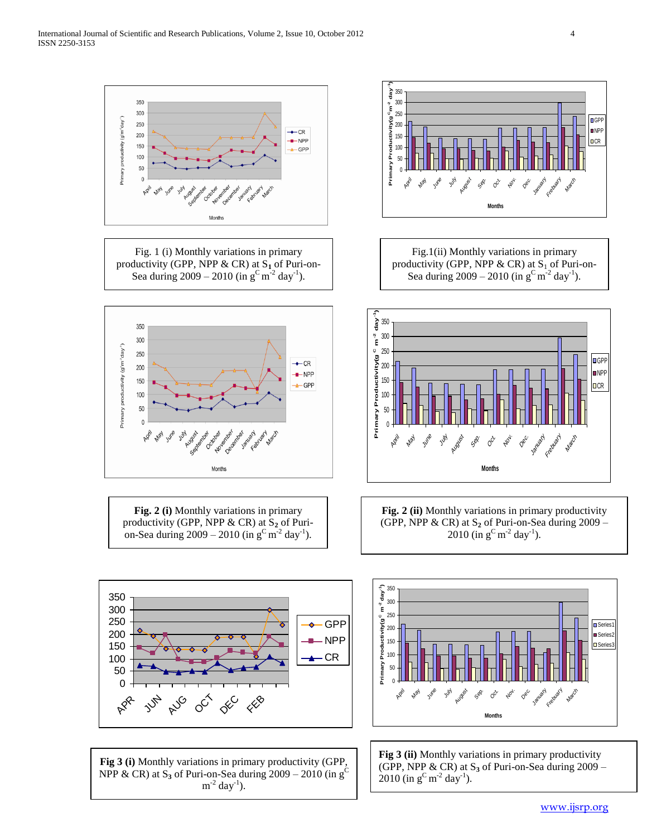

Fig. 1 (i) Monthly variations in primary productivity (GPP, NPP & CR) at S**<sup>1</sup>** of Puri-on-Sea during  $2009 - 2010$  (in  $g^C m^2$  day<sup>-1</sup>).

350

300

250

200

150

100 50  $\theta$ 

Primary productivity (g<sup>om<sup>2</sup>day<sup>1</sup>)</sup>



Fig.1(ii) Monthly variations in primary productivity (GPP, NPP & CR) at  $S_1$  of Puri-on-Sea during  $2009 - 2010$  (in  $g^C m^{-2}$  day<sup>-1</sup>).

**)C m-2 day-1**  $\frac{1}{9}$  350 300  $\tilde{\mathbf{f}}$ 250 Primary Productivity(g<sup>C</sup> ByXivity:poble Argue<br>Primary Production<br>Primary  $\leftarrow$  CR 200  $-$ NPP 150  $\triangle$  GPP 100 50  $\overline{0}$ July August Sep. Nov. April June May  $o^{\circ}$  $Q^{0}$ 

**Fig. 2 (i)** Monthly variations in primary productivity (GPP, NPP & CR) at S<sub>2</sub> of Purion-Sea during  $2009 - 2010$  (in  $g^C m^2 day^{-1}$ ).

Months

**Fig. 2 (ii)** Monthly variations in primary productivity (GPP, NPP & CR) at S**<sup>2</sup>** of Puri-on-Sea during 2009 –  $2010$  (in  $g^C m^{-2}$  day<sup>-1</sup>).

**Months**

January Frebuary Marc

**D**GPP **NPP**  $\Box$ CR



**May** June July August Sep.  $o^{\mathcal{E}}$ Nov. Dec. January Frebuary March **Months** Series<sup>1</sup> ■ Series: **□** Series3

**Fig 3 (i)** Monthly variations in primary productivity (GPP, NPP & CR) at  $S_3$  of Puri-on-Sea during 2009 – 2010 (in g<sup>C</sup>)  $m^{-2}$  day<sup>-1</sup>).

**Fig 3 (ii)** Monthly variations in primary productivity (GPP, NPP & CR) at S**<sup>3</sup>** of Puri-on-Sea during 2009 –  $2010$  (in  $g^C m^{-2}$  day<sup>-1</sup>).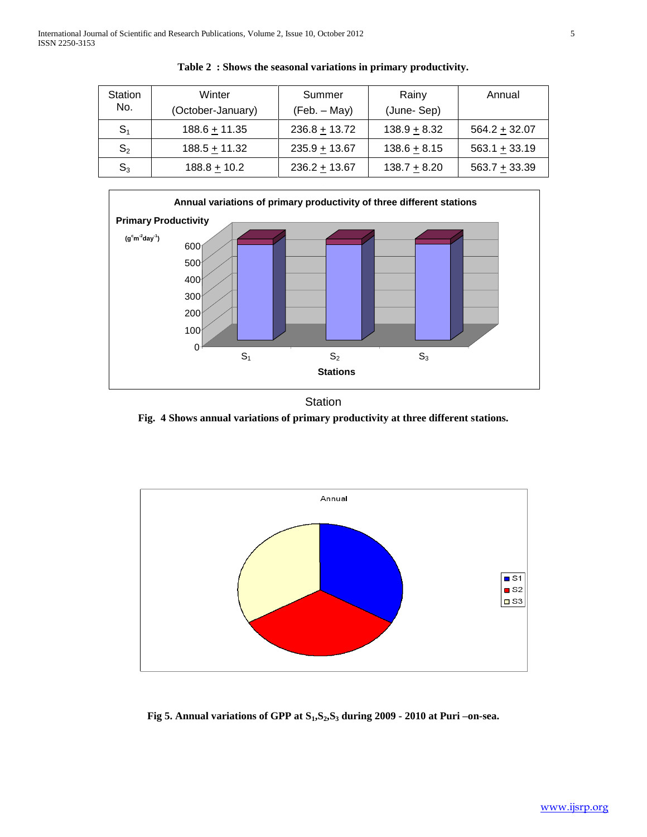| Station<br>No. | Winter<br>(October-January) | Summer<br>(Feb. – May) | Rainy<br>(June-Sep) | Annual          |
|----------------|-----------------------------|------------------------|---------------------|-----------------|
| S <sub>1</sub> | $188.6 + 11.35$             | $236.8 + 13.72$        | $138.9 + 8.32$      | $564.2 + 32.07$ |
| S <sub>2</sub> | $188.5 + 11.32$             | $235.9 + 13.67$        | $138.6 + 8.15$      | $563.1 + 33.19$ |
| $\mathsf{S}_3$ | $188.8 + 10.2$              | $236.2 + 13.67$        | $138.7 + 8.20$      | $563.7 + 33.39$ |





# **Station**

**Fig. 4 Shows annual variations of primary productivity at three different stations.**



**Fig 5. Annual variations of GPP at S1,S2,S<sup>3</sup> during 2009 - 2010 at Puri –on-sea.**